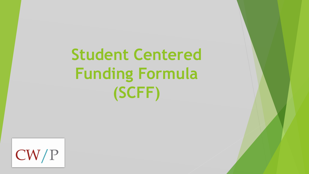**Student Centered Funding Formula (SCFF)**

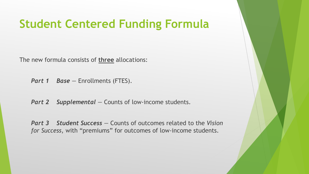#### **Student Centered Funding Formula**

The new formula consists of **three** allocations:

*Part 1 Base — Enrollments (FTES).* 

**Part 2** Supplemental – Counts of low-income students.

*Part 3 Student Success —* Counts of outcomes related to the *Vision for Success*, with "premiums" for outcomes of low-income students.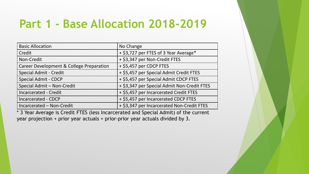## **Part 1 - Base Allocation 2018-2019**

| <b>Basic Allocation</b>                  | No Change                                   |  |  |
|------------------------------------------|---------------------------------------------|--|--|
| Credit                                   | + \$3,727 per FTES of 3 Year Average*       |  |  |
| Non-Credit                               | + \$3,347 per Non-Credit FTES               |  |  |
| Career Development & College Preparation | + \$5,457 per CDCP FTES                     |  |  |
| <b>Special Admit - Credit</b>            | + \$5,457 per Special Admit Credit FTES     |  |  |
| <b>Special Admit - CDCP</b>              | + \$5,457 per Special Admit CDCP FTES       |  |  |
| Special Admit - Non-Credit               | + \$3,347 per Special Admit Non-Credit FTES |  |  |
| <b>Incarcerated - Credit</b>             | + \$5,457 per Incarcerated Credit FTES      |  |  |
| <b>Incarcerated - CDCP</b>               | + \$5,457 per Incarcerated CDCP FTES        |  |  |
| Incarcerated - Non-Credit                | + \$3,347 per Incarcerated Non-Credit FTES  |  |  |

\* 3 Year Average is Credit FTES (less Incarcerated and Special Admit) of the current year projection + prior year actuals + prior-prior year actuals divided by 3.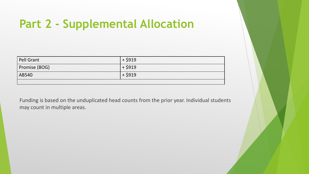# **Part 2 - Supplemental Allocation**

| Pell Grant    | $+$ \$919 |
|---------------|-----------|
| Promise (BOG) | $+$ \$919 |
| AB540         | $+$ \$919 |
|               |           |

Funding is based on the unduplicated head counts from the prior year. Individual students may count in multiple areas.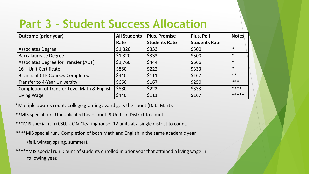# **Part 3 - Student Success Allocation**

| <b>Outcome (prior year)</b>                 | <b>All Students</b> | <b>Plus, Promise</b> | Plus, Pell           | <b>Notes</b> |
|---------------------------------------------|---------------------|----------------------|----------------------|--------------|
|                                             | Rate                | <b>Students Rate</b> | <b>Students Rate</b> |              |
| <b>Associates Degree</b>                    | \$1,320             | \$333                | \$500                | $\ast$       |
| <b>Baccalaureate Degree</b>                 | \$1,320             | \$333                | \$500                | $\ast$       |
| Associates Degree for Transfer (ADT)        | \$1,760             | \$444                | \$666                | $\ast$       |
| 16 + Unit Certificate                       | \$880               | \$222                | \$333                | $\ast$       |
| 9 Units of CTE Courses Completed            | \$440               | \$111                | \$167                | $***$        |
| Transfer to 4-Year University               | \$660               | \$167                | \$250                | ***          |
| Completion of Transfer-Level Math & English | \$880               | \$222                | \$333                | ****         |
| Living Wage                                 | \$440               | \$111                | \$167                | *****        |

\*Multiple awards count. College granting award gets the count (Data Mart).

- \*\*MIS special run. Unduplicated headcount. 9 Units in District to count.
- \*\*\*MIS special run (CSU, UC & Clearinghouse) 12 units at a single district to count.
- \*\*\*\*MIS special run. Completion of both Math and English in the same academic year

(fall, winter, spring, summer).

\*\*\*\*\*MIS special run. Count of students enrolled in prior year that attained a living wage in following year.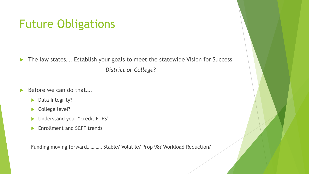## Future Obligations

▶ The law states.... Establish your goals to meet the statewide Vision for Success *District or College?*

 $\triangleright$  Before we can do that....

- Data Integrity?
- College level?
- **Inderstand your "credit FTES"**
- **Enrollment and SCFF trends**

Funding moving forward………… Stable? Volatile? Prop 98? Workload Reduction?